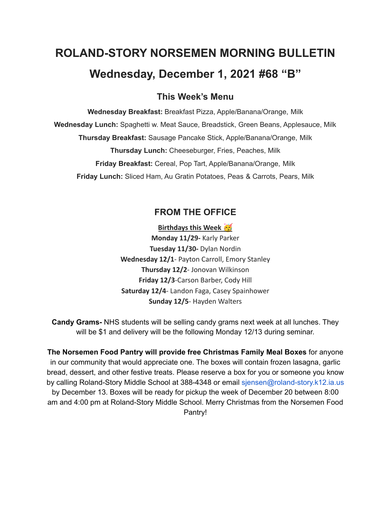# **ROLAND-STORY NORSEMEN MORNING BULLETIN Wednesday, December 1, 2021 #68 "B"**

# **This Week's Menu**

**Wednesday Breakfast:** Breakfast Pizza, Apple/Banana/Orange, Milk **Wednesday Lunch:** Spaghetti w. Meat Sauce, Breadstick, Green Beans, Applesauce, Milk **Thursday Breakfast:** Sausage Pancake Stick, Apple/Banana/Orange, Milk **Thursday Lunch:** Cheeseburger, Fries, Peaches, Milk **Friday Breakfast:** Cereal, Pop Tart, Apple/Banana/Orange, Milk **Friday Lunch:** Sliced Ham, Au Gratin Potatoes, Peas & Carrots, Pears, Milk

# **FROM THE OFFICE**

**Birthdays this Week Monday 11/29-** Karly Parker **Tuesday 11/30-** Dylan Nordin **Wednesday 12/1**- Payton Carroll, Emory Stanley **Thursday 12/2**- Jonovan Wilkinson **Friday 12/3**-Carson Barber, Cody Hill **Saturday 12/4**- Landon Faga, Casey Spainhower **Sunday 12/5**- Hayden Walters

**Candy Grams-** NHS students will be selling candy grams next week at all lunches. They will be \$1 and delivery will be the following Monday 12/13 during seminar.

**The Norsemen Food Pantry will provide free Christmas Family Meal Boxes** for anyone in our community that would appreciate one. The boxes will contain frozen lasagna, garlic bread, dessert, and other festive treats. Please reserve a box for you or someone you know by calling Roland-Story Middle School at 388-4348 or email sjensen@roland-story.k12.ia.us by December 13. Boxes will be ready for pickup the week of December 20 between 8:00 am and 4:00 pm at Roland-Story Middle School. Merry Christmas from the Norsemen Food Pantry!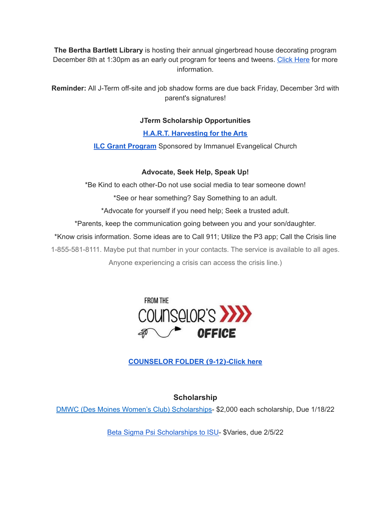**The Bertha Bartlett Library** is hosting their annual gingerbread house decorating program December 8th at 1:30pm as an early out program for teens and tweens. [Click](https://drive.google.com/file/d/1CGmF_50aOwKsD39mKxU7mwvY-md9xy5B/view?usp=sharing) Here for more information.

**Reminder:** All J-Term off-site and job shadow forms are due back Friday, December 3rd with parent's signatures!

# **JTerm Scholarship Opportunities**

### **H.A.R.T. [Harvesting](https://drive.google.com/file/d/11g4-lZB5o7SgG3y5R4Ux7ycNKvq857Rx/view?usp=sharing) for the Arts**

**ILC Grant [Program](https://docs.google.com/document/d/1b9DHMpZaVSj48gvRrAlQ3TA3HICpz-mx/edit?usp=sharing&ouid=114282091537110464265&rtpof=true&sd=true)** Sponsored by Immanuel Evangelical Church

#### **Advocate, Seek Help, Speak Up!**

\*Be Kind to each other-Do not use social media to tear someone down!

\*See or hear something? Say Something to an adult.

\*Advocate for yourself if you need help; Seek a trusted adult.

\*Parents, keep the communication going between you and your son/daughter.

\*Know crisis information. Some ideas are to Call 911; Utilize the P3 app; Call the Crisis line

1-855-581-8111. Maybe put that number in your contacts. The service is available to all ages.

Anyone experiencing a crisis can access the crisis line.)



# **[COUNSELOR](https://docs.google.com/document/d/1vmwczNPbDzXe9vFaG5LJMQ7NYDv-i4oQJHybqA65TUc/edit?usp=sharing) FOLDER (9-12)-Click here**

# **Scholarship**

DMWC (Des Moines Women's Club) [Scholarships](https://www.desmoineswomensclub.com/scholarships)- \$2,000 each scholarship, Due 1/18/22

Beta Sigma Psi [Scholarships](http://epsilon.betasigmapsi.org/scholarship/) to ISU- \$Varies, due 2/5/22